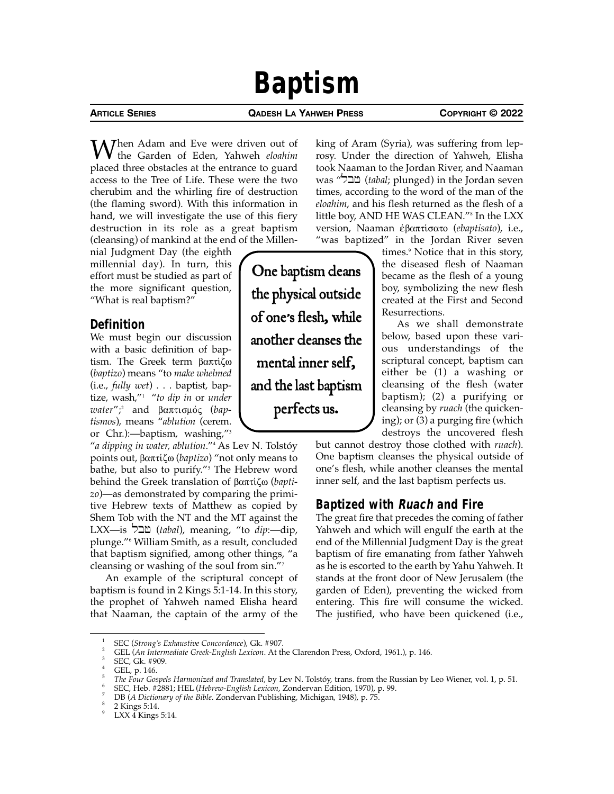# **Baptism**

**ARTICLE SERIES QADESH LA YAHWEH PRESS COPYRIGHT © 2022**

 $M^{\text{hen Adam}}$  and Eve were driven out of the Garden of Eden, Yahweh *eloahim* placed three obstacles at the entrance to guard access to the Tree of Life. These were the two cherubim and the whirling fire of destruction (the flaming sword). With this information in hand, we will investigate the use of this fiery destruction in its role as a great baptism (cleansing) of mankind at the end of the Millen-

nial Judgment Day (the eighth millennial day). In turn, this effort must be studied as part of the more significant question, "What is real baptism?"

# **Definition**

We must begin our discussion with a basic definition of baptism. The Greek term  $\beta \alpha \pi \tau \alpha \zeta \omega$ (*baptizo*) means "to *make whelmed* (i.e., *fully wet*) . . . baptist, baptize, wash,"<sup>1</sup> "*to dip in* or *under*  water";<sup>2</sup> and βαπτισμός (bap*tismos*), means "*ablution* (cerem. or Chr.):—baptism, washing,"<sup>3</sup>

"*a dipping in water, ablution*."<sup>4</sup> As Lev N. Tolstóy points out, βαπτίζω (*baptizo*) "not only means to bathe, but also to purify."<sup>5</sup> The Hebrew word behind the Greek translation of βαπτίζω (*baptizo*)—as demonstrated by comparing the primitive Hebrew texts of Matthew as copied by Shem Tob with the NT and the MT against the LXX—is lbf (*tabal*), meaning, "to *dip*:—dip, plunge."<sup>6</sup> William Smith, as a result, concluded that baptism signified, among other things, "a cleansing or washing of the soul from  $sin."$ 

An example of the scriptural concept of baptism is found in 2 Kings 5:1-14. In this story, the prophet of Yahweh named Elisha heard that Naaman, the captain of the army of the

king of Aram (Syria), was suffering from leprosy. Under the direction of Yahweh, Elisha took Naaman to the Jordan River, and Naaman was "שבל" (*tabal*; plunged) in the Jordan seven times, according to the word of the man of the *eloahim*, and his flesh returned as the flesh of a little boy, AND HE WAS CLEAN."<sup>8</sup> In the LXX version, Naaman έβαπτίσατο (*ebaptisato*), i.e., "was baptized" in the Jordan River seven

> times.<sup>9</sup> Notice that in this story, the diseased flesh of Naaman became as the flesh of a young boy, symbolizing the new flesh created at the First and Second Resurrections.

> As we shall demonstrate below, based upon these various understandings of the scriptural concept, baptism can either be (1) a washing or cleansing of the flesh (water baptism); (2) a purifying or cleansing by *ruach* (the quickening); or (3) a purging fire (which destroys the uncovered flesh

but cannot destroy those clothed with *ruach*). One baptism cleanses the physical outside of one's flesh, while another cleanses the mental inner self, and the last baptism perfects us.

# **Baptized with Ruach and Fire**

The great fire that precedes the coming of father Yahweh and which will engulf the earth at the end of the Millennial Judgment Day is the great baptism of fire emanating from father Yahweh as he is escorted to the earth by Yahu Yahweh. It stands at the front door of New Jerusalem (the garden of Eden), preventing the wicked from entering. This fire will consume the wicked. The justified, who have been quickened (i.e.,

One baptism cleans the physical outside of one's flesh, while another cleanses the mental inner self, and the last baptism perfects us.

<sup>1</sup> SEC (*Strong's Exhaustive Concordance*), Gk. #907. 2 GEL (*An Intermediate Greek-English Lexicon*. At the Clarendon Press, Oxford, 1961.), p. 146. 3 SEC, Gk. #909.

GEL, p. 146.

The Four Gospels Harmonized and Translated, by Lev N. Tolstóy, trans. from the Russian by Leo Wiener, vol. 1, p. 51.<br>SEC, Heb. #2881; HEL (Hebrew-English Lexicon, Zondervan Edition, 1970), p. 99.<br>DB (A Dictionary of the Bi

LXX  $\check{4}$  Kings 5:14.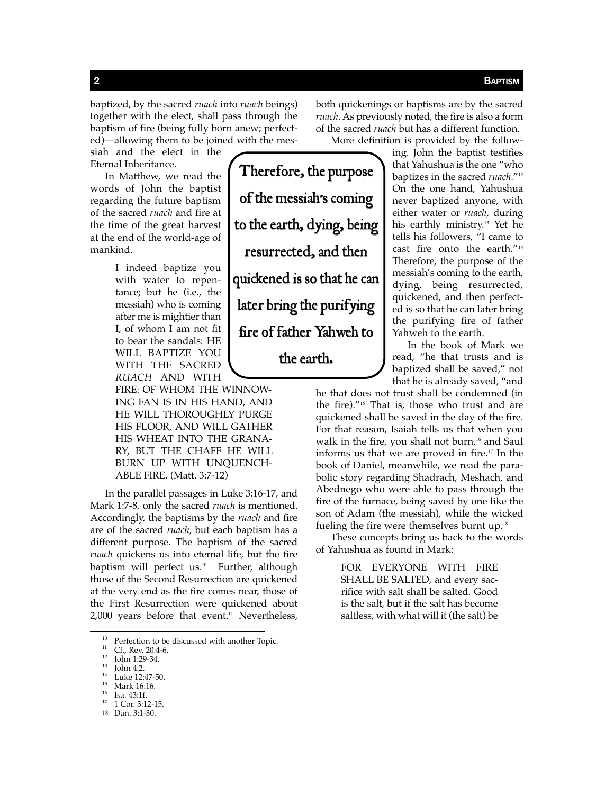baptized, by the sacred *ruach* into *ruach* beings) together with the elect, shall pass through the baptism of fire (being fully born anew; perfected)—allowing them to be joined with the mes-

siah and the elect in the Eternal Inheritance.

In Matthew, we read the words of John the baptist regarding the future baptism of the sacred *ruach* and fire at the time of the great harvest at the end of the world-age of mankind.

> I indeed baptize you with water to repentance; but he (i.e., the messiah) who is coming after me is mightier than I, of whom I am not fit to bear the sandals: HE WILL BAPTIZE YOU WITH THE SACRED *RUACH* AND WITH

FIRE: OF WHOM THE WINNOW-ING FAN IS IN HIS HAND, AND HE WILL THOROUGHLY PURGE HIS FLOOR, AND WILL GATHER HIS WHEAT INTO THE GRANA-RY, BUT THE CHAFF HE WILL BURN UP WITH UNQUENCH-ABLE FIRE. (Matt. 3:7-12)

In the parallel passages in Luke 3:16-17, and Mark 1:7-8, only the sacred *ruach* is mentioned. Accordingly, the baptisms by the *ruach* and fire are of the sacred *ruach*, but each baptism has a different purpose. The baptism of the sacred *ruach* quickens us into eternal life, but the fire baptism will perfect us.<sup>10</sup> Further, although those of the Second Resurrection are quickened at the very end as the fire comes near, those of the First Resurrection were quickened about  $2,000$  years before that event.<sup>11</sup> Nevertheless,

- 
- 

- 
- 18 Dan. 3:1-30.

both quickenings or baptisms are by the sacred *ruach*. As previously noted, the fire is also a form of the sacred *ruach* but has a different function. More definition is provided by the follow-

ing. John the baptist testifies that Yahushua is the one "who baptizes in the sacred *ruach*."<sup>12</sup> On the one hand, Yahushua never baptized anyone, with either water or *ruach*, during his earthly ministry.13 Yet he tells his followers, "I came to cast fire onto the earth."<sup>14</sup> Therefore, the purpose of the messiah's coming to the earth, dying, being resurrected, quickened, and then perfected is so that he can later bring the purifying fire of father Yahweh to the earth.

In the book of Mark we read, "he that trusts and is baptized shall be saved," not that he is already saved, "and

he that does not trust shall be condemned (in the fire)."15 That is, those who trust and are quickened shall be saved in the day of the fire. For that reason, Isaiah tells us that when you walk in the fire, you shall not burn,<sup>16</sup> and Saul informs us that we are proved in fire.<sup>17</sup> In the book of Daniel, meanwhile, we read the parabolic story regarding Shadrach, Meshach, and Abednego who were able to pass through the fire of the furnace, being saved by one like the son of Adam (the messiah), while the wicked fueling the fire were themselves burnt up.<sup>18</sup>

These concepts bring us back to the words of Yahushua as found in Mark:

> FOR EVERYONE WITH FIRE SHALL BE SALTED, and every sacrifice with salt shall be salted. Good is the salt, but if the salt has become saltless, with what will it (the salt) be

<sup>&</sup>lt;sup>10</sup> Perfection to be discussed with another Topic.<br>
<sup>11</sup> Cf., Rev. 20:4-6.<br>
<sup>12</sup> John 1:29-34.<br>
<sup>13</sup> John 4:2.<br>
<sup>14</sup> Luke 12:47-50.<br>
<sup>15</sup> Mark 16:16.<br>
<sup>16</sup> Isa. 43:1f.<br>
<sup>17</sup> 1 Cor. 3:12-15.

Therefore, the purpose of the messiah's coming to the earth, dying, being resurrected, and then quickened is so that he can later bring the purifying fire of father Yahweh to the earth.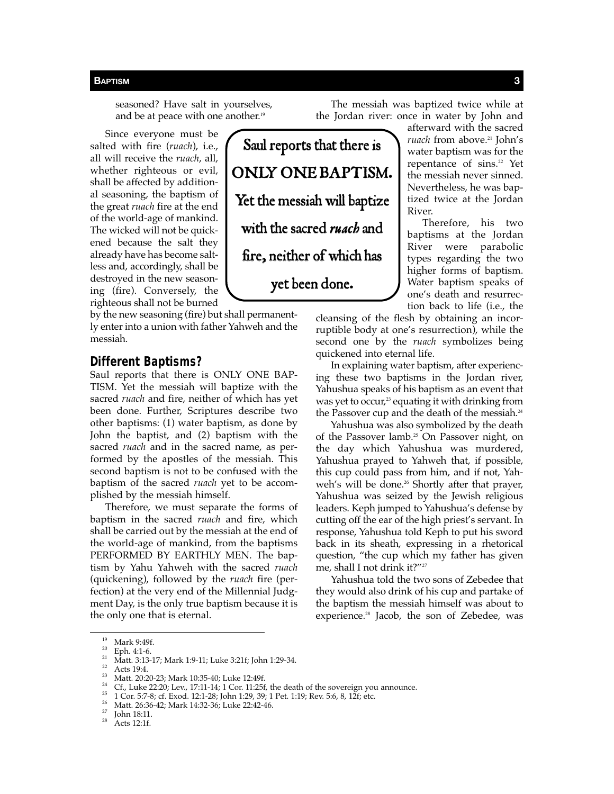seasoned? Have salt in yourselves, and be at peace with one another.<sup>19</sup>

Since everyone must be salted with fire (*ruach*), i.e., all will receive the *ruach*, all, whether righteous or evil, shall be affected by additional seasoning, the baptism of the great *ruach* fire at the end of the world-age of mankind. The wicked will not be quickened because the salt they already have has become saltless and, accordingly, shall be destroyed in the new seasoning (fire). Conversely, the righteous shall not be burned

by the new seasoning (fire) but shall permanently enter into a union with father Yahweh and the messiah.

### **Different Baptisms?**

Saul reports that there is ONLY ONE BAP-TISM. Yet the messiah will baptize with the sacred *ruach* and fire, neither of which has yet been done. Further, Scriptures describe two other baptisms: (1) water baptism, as done by John the baptist, and (2) baptism with the sacred *ruach* and in the sacred name, as performed by the apostles of the messiah. This second baptism is not to be confused with the baptism of the sacred *ruach* yet to be accomplished by the messiah himself.

Therefore, we must separate the forms of baptism in the sacred *ruach* and fire, which shall be carried out by the messiah at the end of the world-age of mankind, from the baptisms PERFORMED BY EARTHLY MEN. The baptism by Yahu Yahweh with the sacred *ruach* (quickening), followed by the *ruach* fire (perfection) at the very end of the Millennial Judgment Day, is the only true baptism because it is the only one that is eternal.

The messiah was baptized twice while at the Jordan river: once in water by John and

afterward with the sacred *ruach* from above.<sup>21</sup> John's water baptism was for the repentance of sins.<sup>22</sup> Yet the messiah never sinned. Nevertheless, he was baptized twice at the Jordan River.

Therefore, his two baptisms at the Jordan River were parabolic types regarding the two higher forms of baptism. Water baptism speaks of one's death and resurrection back to life (i.e., the

cleansing of the flesh by obtaining an incorruptible body at one's resurrection), while the second one by the *ruach* symbolizes being quickened into eternal life.

In explaining water baptism, after experiencing these two baptisms in the Jordan river, Yahushua speaks of his baptism as an event that was yet to occur,<sup>23</sup> equating it with drinking from the Passover cup and the death of the messiah.<sup>24</sup>

Yahushua was also symbolized by the death of the Passover lamb.<sup>25</sup> On Passover night, on the day which Yahushua was murdered, Yahushua prayed to Yahweh that, if possible, this cup could pass from him, and if not, Yahweh's will be done.<sup>26</sup> Shortly after that prayer, Yahushua was seized by the Jewish religious leaders. Keph jumped to Yahushua's defense by cutting off the ear of the high priest's servant. In response, Yahushua told Keph to put his sword back in its sheath, expressing in a rhetorical question, "the cup which my father has given me, shall I not drink it?"<sup>27</sup>

Yahushua told the two sons of Zebedee that they would also drink of his cup and partake of the baptism the messiah himself was about to experience.<sup>28</sup> Jacob, the son of Zebedee, was

Saul reports that there is ONLY ONE BAPTISM. Yet the messiah will baptize with the sacred *ruach* and fire, neither of which has yet been done.

<sup>&</sup>lt;sup>19</sup> Mark 9:49f.<br>
<sup>20</sup> Eph. 4:1-6.<br>
<sup>21</sup> Matt. 3:13-17; Mark 1:9-11; Luke 3:21f; John 1:29-34.<br>
<sup>22</sup> Acts 19:4.<br>
<sup>22</sup> Acts 19:4.<br>
Matt. 20:20-23; Mark 10:35-40; Luke 12:49f.<br>
<sup>24</sup> Cf., Luke 22:20; Lev., 17:11-14; 1 Cor. 1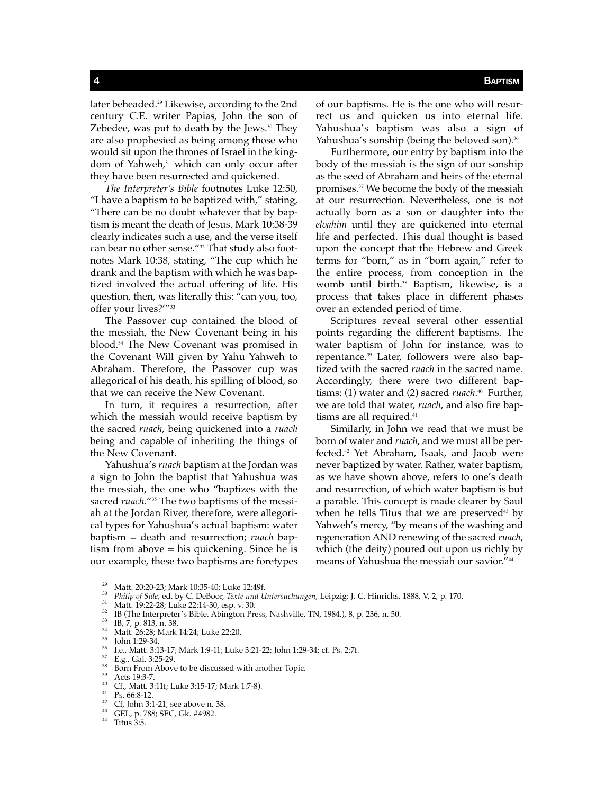later beheaded.<sup>29</sup> Likewise, according to the 2nd century C.E. writer Papias, John the son of Zebedee, was put to death by the Jews.<sup>30</sup> They are also prophesied as being among those who would sit upon the thrones of Israel in the kingdom of Yahweh,<sup>31</sup> which can only occur after they have been resurrected and quickened.

*The Interpreter's Bible* footnotes Luke 12:50, "I have a baptism to be baptized with," stating, "There can be no doubt whatever that by baptism is meant the death of Jesus. Mark 10:38-39 clearly indicates such a use, and the verse itself can bear no other sense."<sup>32</sup> That study also footnotes Mark 10:38, stating, "The cup which he drank and the baptism with which he was baptized involved the actual offering of life. His question, then, was literally this: "can you, too, offer your lives?'"<sup>33</sup>

The Passover cup contained the blood of the messiah, the New Covenant being in his blood.34 The New Covenant was promised in the Covenant Will given by Yahu Yahweh to Abraham. Therefore, the Passover cup was allegorical of his death, his spilling of blood, so that we can receive the New Covenant.

In turn, it requires a resurrection, after which the messiah would receive baptism by the sacred *ruach*, being quickened into a *ruach*  being and capable of inheriting the things of the New Covenant.

Yahushua's *ruach* baptism at the Jordan was a sign to John the baptist that Yahushua was the messiah, the one who "baptizes with the sacred *ruach*."35 The two baptisms of the messiah at the Jordan River, therefore, were allegorical types for Yahushua's actual baptism: water baptism = death and resurrection; *ruach* baptism from above = his quickening. Since he is our example, these two baptisms are foretypes

of our baptisms. He is the one who will resurrect us and quicken us into eternal life. Yahushua's baptism was also a sign of Yahushua's sonship (being the beloved son).<sup>36</sup>

Furthermore, our entry by baptism into the body of the messiah is the sign of our sonship as the seed of Abraham and heirs of the eternal promises.37 We become the body of the messiah at our resurrection. Nevertheless, one is not actually born as a son or daughter into the *eloahim* until they are quickened into eternal life and perfected. This dual thought is based upon the concept that the Hebrew and Greek terms for "born," as in "born again," refer to the entire process, from conception in the womb until birth.<sup>38</sup> Baptism, likewise, is a process that takes place in different phases over an extended period of time.

Scriptures reveal several other essential points regarding the different baptisms. The water baptism of John for instance, was to repentance.39 Later, followers were also baptized with the sacred *ruach* in the sacred name. Accordingly, there were two different baptisms: (1) water and (2) sacred *ruach*. <sup>40</sup> Further, we are told that water, *ruach*, and also fire baptisms are all required.<sup>41</sup>

Similarly, in John we read that we must be born of water and *ruach*, and we must all be perfected.42 Yet Abraham, Isaak, and Jacob were never baptized by water. Rather, water baptism, as we have shown above, refers to one's death and resurrection, of which water baptism is but a parable. This concept is made clearer by Saul when he tells Titus that we are preserved $43$  by Yahweh's mercy, "by means of the washing and regeneration AND renewing of the sacred *ruach*, which (the deity) poured out upon us richly by means of Yahushua the messiah our savior."<sup>44</sup>

<sup>&</sup>lt;sup>29</sup> Matt. 20:20-23; Mark 10:35-40; Luke 12:49f.<br>
<sup>30</sup> Philip of Side, ed. by C. DeBoor, *Texte und Untersuchungen*, Leipzig: J. C. Hinrichs, 1888, V, 2, p. 170.<br>
<sup>31</sup> Matt. 19:22-28; Luke 22:14-30, esp. v. 30.<br>
<sup>33</sup> IB (T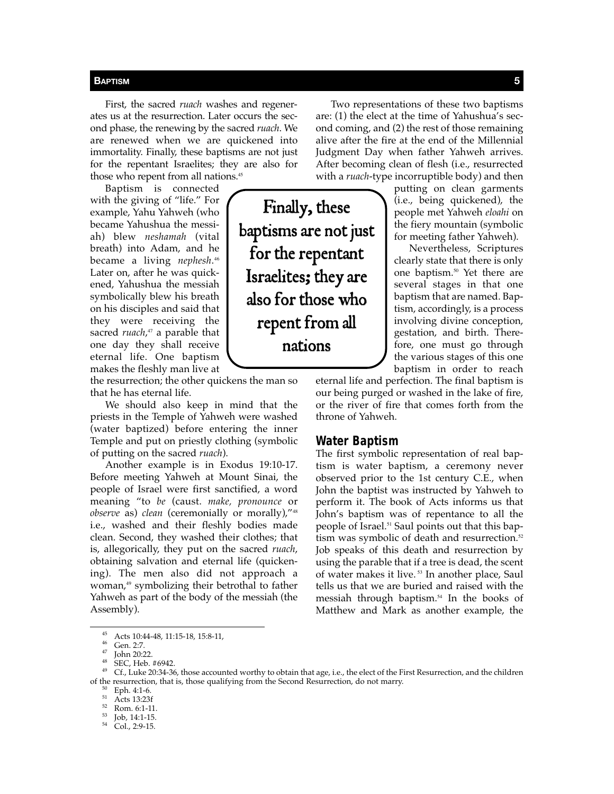First, the sacred *ruach* washes and regenerates us at the resurrection. Later occurs the second phase, the renewing by the sacred *ruach*. We are renewed when we are quickened into immortality. Finally, these baptisms are not just for the repentant Israelites; they are also for those who repent from all nations.<sup>45</sup>

Baptism is connected with the giving of "life." For example, Yahu Yahweh (who became Yahushua the messiah) blew *neshamah* (vital breath) into Adam, and he became a living *nephesh*. 46 Later on, after he was quickened, Yahushua the messiah symbolically blew his breath on his disciples and said that they were receiving the sacred *ruach*, <sup>47</sup> a parable that one day they shall receive eternal life. One baptism makes the fleshly man live at

the resurrection; the other quickens the man so that he has eternal life.

We should also keep in mind that the priests in the Temple of Yahweh were washed (water baptized) before entering the inner Temple and put on priestly clothing (symbolic of putting on the sacred *ruach*).

Another example is in Exodus 19:10-17. Before meeting Yahweh at Mount Sinai, the people of Israel were first sanctified, a word meaning "to *be* (caust. *make, pronounce* or *observe* as) *clean* (ceremonially or morally),"<sup>48</sup> i.e., washed and their fleshly bodies made clean. Second, they washed their clothes; that is, allegorically, they put on the sacred *ruach*, obtaining salvation and eternal life (quickening). The men also did not approach a woman,<sup>49</sup> symbolizing their betrothal to father Yahweh as part of the body of the messiah (the Assembly).

Two representations of these two baptisms are: (1) the elect at the time of Yahushua's second coming, and (2) the rest of those remaining alive after the fire at the end of the Millennial Judgment Day when father Yahweh arrives. After becoming clean of flesh (i.e., resurrected with a *ruach*-type incorruptible body) and then

> putting on clean garments (i.e., being quickened), the people met Yahweh *eloahi* on the fiery mountain (symbolic for meeting father Yahweh).

> Nevertheless, Scriptures clearly state that there is only one baptism.50 Yet there are several stages in that one baptism that are named. Baptism, accordingly, is a process involving divine conception, gestation, and birth. Therefore, one must go through the various stages of this one baptism in order to reach

eternal life and perfection. The final baptism is our being purged or washed in the lake of fire, or the river of fire that comes forth from the throne of Yahweh.

### **Water Baptism**

The first symbolic representation of real baptism is water baptism, a ceremony never observed prior to the 1st century C.E., when John the baptist was instructed by Yahweh to perform it. The book of Acts informs us that John's baptism was of repentance to all the people of Israel.51 Saul points out that this baptism was symbolic of death and resurrection.<sup>52</sup> Job speaks of this death and resurrection by using the parable that if a tree is dead, the scent of water makes it live.<sup>53</sup> In another place, Saul tells us that we are buried and raised with the messiah through baptism.<sup>54</sup> In the books of Matthew and Mark as another example, the

Finally, these baptisms are not just for the repentant Israelites; they are also for those who repent from all nations

<sup>&</sup>lt;sup>45</sup> Acts 10:44-48, 11:15-18, 15:8-11,<br><sup>46</sup> Gen. 2:7.<br><sup>47</sup> John 20:22.<br><sup>49</sup> SEC, Heb. #6942.<br><sup>49</sup> Cf., Luke 20:34-36, those accounted worthy to obtain that age, i.e., the elect of the First Resurrection, and the children % of the resurrection, that is, those qualifying from the Second Resurrection, do not marry.<br>  $^{50}$  Eph. 4:1-6.<br>  $^{51}$  Acts 13:23f<br>
Rom. 6:1-11.<br>  $^{53}$  Job, 14:1-15.<br>  $^{54}$  Col., 2:9-15.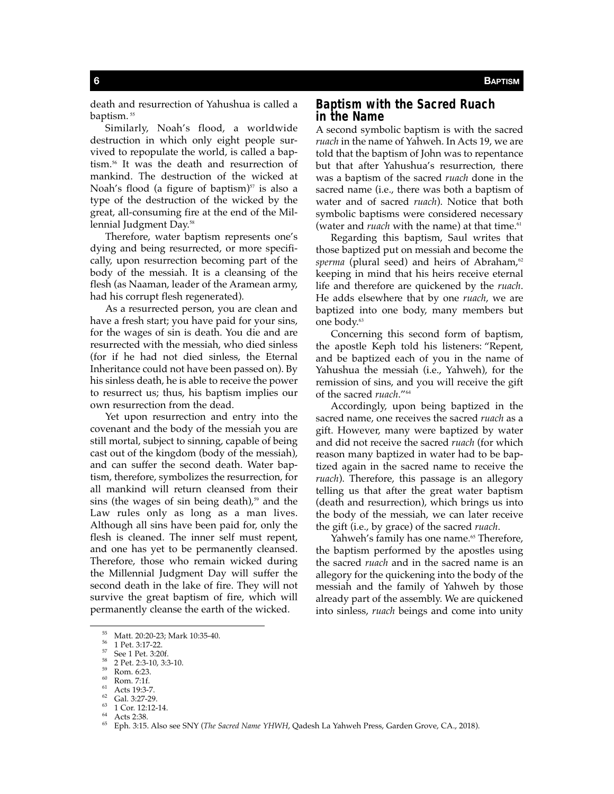death and resurrection of Yahushua is called a baptism.<sup>55</sup>

Similarly, Noah's flood, a worldwide destruction in which only eight people survived to repopulate the world, is called a baptism.<sup>56</sup> It was the death and resurrection of mankind. The destruction of the wicked at Noah's flood (a figure of baptism) $57$  is also a type of the destruction of the wicked by the great, all-consuming fire at the end of the Millennial Judgment Day.<sup>58</sup>

Therefore, water baptism represents one's dying and being resurrected, or more specifically, upon resurrection becoming part of the body of the messiah. It is a cleansing of the flesh (as Naaman, leader of the Aramean army, had his corrupt flesh regenerated).

As a resurrected person, you are clean and have a fresh start; you have paid for your sins, for the wages of sin is death. You die and are resurrected with the messiah, who died sinless (for if he had not died sinless, the Eternal Inheritance could not have been passed on). By his sinless death, he is able to receive the power to resurrect us; thus, his baptism implies our own resurrection from the dead.

Yet upon resurrection and entry into the covenant and the body of the messiah you are still mortal, subject to sinning, capable of being cast out of the kingdom (body of the messiah), and can suffer the second death. Water baptism, therefore, symbolizes the resurrection, for all mankind will return cleansed from their sins (the wages of sin being death), $59$  and the Law rules only as long as a man lives. Although all sins have been paid for, only the flesh is cleaned. The inner self must repent, and one has yet to be permanently cleansed. Therefore, those who remain wicked during the Millennial Judgment Day will suffer the second death in the lake of fire. They will not survive the great baptism of fire, which will permanently cleanse the earth of the wicked.

# **Baptism with the Sacred Ruach in the Name**

A second symbolic baptism is with the sacred *ruach* in the name of Yahweh. In Acts 19, we are told that the baptism of John was to repentance but that after Yahushua's resurrection, there was a baptism of the sacred *ruach* done in the sacred name (i.e., there was both a baptism of water and of sacred *ruach*). Notice that both symbolic baptisms were considered necessary (water and *ruach* with the name) at that time.<sup>61</sup>

Regarding this baptism, Saul writes that those baptized put on messiah and become the sperma (plural seed) and heirs of Abraham,<sup>62</sup> keeping in mind that his heirs receive eternal life and therefore are quickened by the *ruach*. He adds elsewhere that by one *ruach*, we are baptized into one body, many members but one body.<sup>63</sup>

Concerning this second form of baptism, the apostle Keph told his listeners: "Repent, and be baptized each of you in the name of Yahushua the messiah (i.e., Yahweh), for the remission of sins, and you will receive the gift of the sacred *ruach*."<sup>64</sup>

Accordingly, upon being baptized in the sacred name, one receives the sacred *ruach* as a gift. However, many were baptized by water and did not receive the sacred *ruach* (for which reason many baptized in water had to be baptized again in the sacred name to receive the *ruach*). Therefore, this passage is an allegory telling us that after the great water baptism (death and resurrection), which brings us into the body of the messiah, we can later receive the gift (i.e., by grace) of the sacred *ruach*.

Yahweh's family has one name.<sup>65</sup> Therefore, the baptism performed by the apostles using the sacred *ruach* and in the sacred name is an allegory for the quickening into the body of the messiah and the family of Yahweh by those already part of the assembly. We are quickened into sinless, *ruach* beings and come into unity

<sup>&</sup>lt;sup>55</sup> Matt. 20:20-23; Mark 10:35-40.<br><sup>56</sup> 1 Pet. 3:17-22.<br><sup>57</sup> See 1 Pet. 3:20f.<br><sup>59</sup> 2 Pet. 2:3-10, 3:3-10.<br><sup>59</sup> Rom. 6:23.<br><sup>69</sup> Rom. 7:1f.<br><sup>61</sup> Acts 13:27-29.<br><sup>64</sup> I Cor. 12:12-14.<br><sup>64</sup> Acts 2:38.<br><sup>65</sup> Eph. 3:15. Also see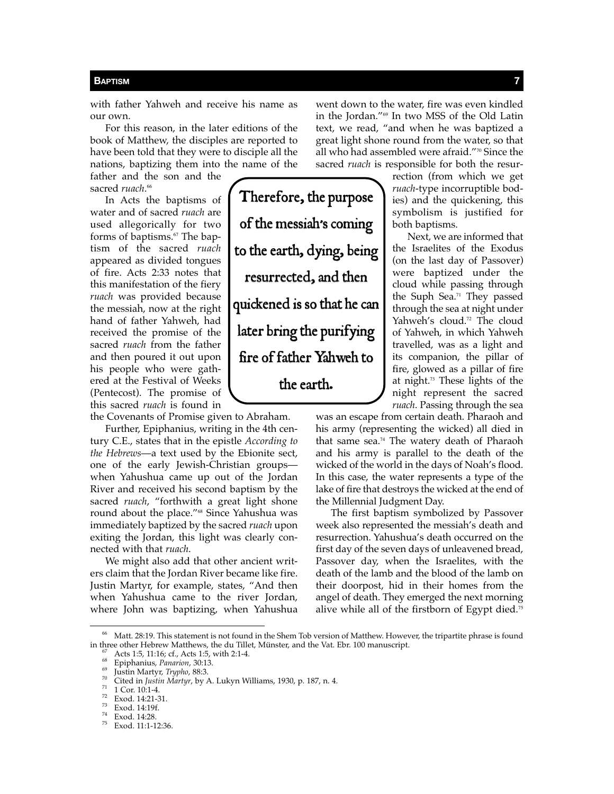with father Yahweh and receive his name as our own.

For this reason, in the later editions of the book of Matthew, the disciples are reported to have been told that they were to disciple all the nations, baptizing them into the name of the

father and the son and the sacred *ruach*. 66

In Acts the baptisms of water and of sacred *ruach* are used allegorically for two forms of baptisms.<sup>67</sup> The baptism of the sacred *ruach* appeared as divided tongues of fire. Acts 2:33 notes that this manifestation of the fiery *ruach* was provided because the messiah, now at the right hand of father Yahweh, had received the promise of the sacred *ruach* from the father and then poured it out upon his people who were gathered at the Festival of Weeks (Pentecost). The promise of this sacred *ruach* is found in

the Covenants of Promise given to Abraham.

Further, Epiphanius, writing in the 4th century C.E., states that in the epistle *According to the Hebrews*—a text used by the Ebionite sect, one of the early Jewish-Christian groups when Yahushua came up out of the Jordan River and received his second baptism by the sacred *ruach*, "forthwith a great light shone round about the place."68 Since Yahushua was immediately baptized by the sacred *ruach* upon exiting the Jordan, this light was clearly connected with that *ruach*.

We might also add that other ancient writers claim that the Jordan River became like fire. Justin Martyr, for example, states, "And then when Yahushua came to the river Jordan, where John was baptizing, when Yahushua

Therefore, the purpose of the messiah's coming to the earth, dying, being resurrected, and then quickened is so that he can later bring the purifying fire of father Yahweh to the earth.

went down to the water, fire was even kindled in the Jordan."69 In two MSS of the Old Latin text, we read, "and when he was baptized a great light shone round from the water, so that all who had assembled were afraid."70 Since the sacred *ruach* is responsible for both the resur-

> rection (from which we get *ruach*-type incorruptible bodies) and the quickening, this symbolism is justified for both baptisms.

Next, we are informed that the Israelites of the Exodus (on the last day of Passover) were baptized under the cloud while passing through the Suph Sea.<sup>71</sup> They passed through the sea at night under Yahweh's cloud.<sup>72</sup> The cloud of Yahweh, in which Yahweh travelled, was as a light and its companion, the pillar of fire, glowed as a pillar of fire at night.73 These lights of the night represent the sacred *ruach*. Passing through the sea

was an escape from certain death. Pharaoh and his army (representing the wicked) all died in that same sea.74 The watery death of Pharaoh and his army is parallel to the death of the wicked of the world in the days of Noah's flood. In this case, the water represents a type of the lake of fire that destroys the wicked at the end of the Millennial Judgment Day.

The first baptism symbolized by Passover week also represented the messiah's death and resurrection. Yahushua's death occurred on the first day of the seven days of unleavened bread, Passover day, when the Israelites, with the death of the lamb and the blood of the lamb on their doorpost, hid in their homes from the angel of death. They emerged the next morning alive while all of the firstborn of Egypt died.<sup>75</sup>

 $^{66}$  Matt. 28:19. This statement is not found in the Shem Tob version of Matthew. However, the tripartite phrase is found in three other Hebrew Matthews, the du Tillet, Münster, and the Vat. Ebr. 100 manuscript. in three other Hebrew Matthews, the du Tillet, Münster, and the Vat. Ebr. 100 manuscript.<br>
<sup>67</sup> Acts 1:5, 11:16; cf., Acts 1:5, with 2:1-4.<br>
<sup>68</sup> Epiphanius, *Panarion*, 30:13.<br>
<sup>69</sup> Gited in Justin Martyr, *Trypho*, 88:3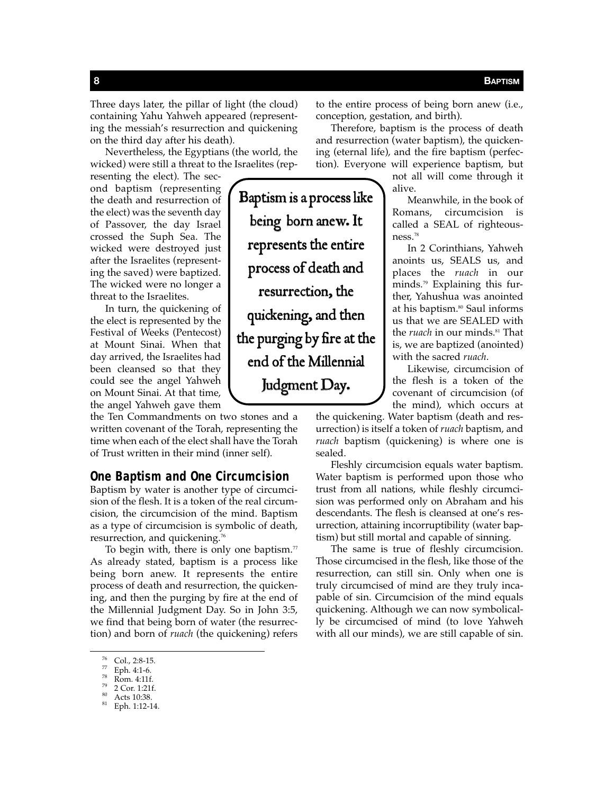Three days later, the pillar of light (the cloud) containing Yahu Yahweh appeared (representing the messiah's resurrection and quickening on the third day after his death).

Nevertheless, the Egyptians (the world, the wicked) were still a threat to the Israelites (rep-

resenting the elect). The second baptism (representing the death and resurrection of the elect) was the seventh day of Passover, the day Israel crossed the Suph Sea. The wicked were destroyed just after the Israelites (representing the saved) were baptized. The wicked were no longer a threat to the Israelites.

In turn, the quickening of the elect is represented by the Festival of Weeks (Pentecost) at Mount Sinai. When that day arrived, the Israelites had been cleansed so that they could see the angel Yahweh on Mount Sinai. At that time, the angel Yahweh gave them

the Ten Commandments on two stones and a written covenant of the Torah, representing the time when each of the elect shall have the Torah of Trust written in their mind (inner self).

# **One Baptism and One Circumcision**

Baptism by water is another type of circumcision of the flesh. It is a token of the real circumcision, the circumcision of the mind. Baptism as a type of circumcision is symbolic of death, resurrection, and quickening.<sup>76</sup>

To begin with, there is only one baptism. $77$ As already stated, baptism is a process like being born anew. It represents the entire process of death and resurrection, the quickening, and then the purging by fire at the end of the Millennial Judgment Day. So in John 3:5, we find that being born of water (the resurrection) and born of *ruach* (the quickening) refers

Baptism is a process like being born anew. It represents the entire process of death and resurrection, the quickening, and then the purging by fire at the end of the Millennial Judgment Day.

to the entire process of being born anew (i.e., conception, gestation, and birth).

Therefore, baptism is the process of death and resurrection (water baptism), the quickening (eternal life), and the fire baptism (perfection). Everyone will experience baptism, but

> not all will come through it alive.

Meanwhile, in the book of Romans, circumcision is called a SEAL of righteousness.<sup>78</sup>

In 2 Corinthians, Yahweh anoints us, SEALS us, and places the *ruach* in our minds.79 Explaining this further, Yahushua was anointed at his baptism.<sup>80</sup> Saul informs us that we are SEALED with the *ruach* in our minds.<sup>81</sup> That is, we are baptized (anointed) with the sacred *ruach*.

Likewise, circumcision of the flesh is a token of the covenant of circumcision (of the mind), which occurs at

the quickening. Water baptism (death and resurrection) is itself a token of *ruach* baptism, and *ruach* baptism (quickening) is where one is sealed.

Fleshly circumcision equals water baptism. Water baptism is performed upon those who trust from all nations, while fleshly circumcision was performed only on Abraham and his descendants. The flesh is cleansed at one's resurrection, attaining incorruptibility (water baptism) but still mortal and capable of sinning.

The same is true of fleshly circumcision. Those circumcised in the flesh, like those of the resurrection, can still sin. Only when one is truly circumcised of mind are they truly incapable of sin. Circumcision of the mind equals quickening. Although we can now symbolically be circumcised of mind (to love Yahweh with all our minds), we are still capable of sin.

 $^{76}$  Col., 2:8-15.<br>  $^{77}$  Eph. 4:1-6.<br>  $^{78}$  Rom. 4:11f.<br>  $^{79}$  2 Cor. 1:21f.<br>  $^{80}$  Acts 10:38.<br>  $^{81}$  Eph. 1:12-14.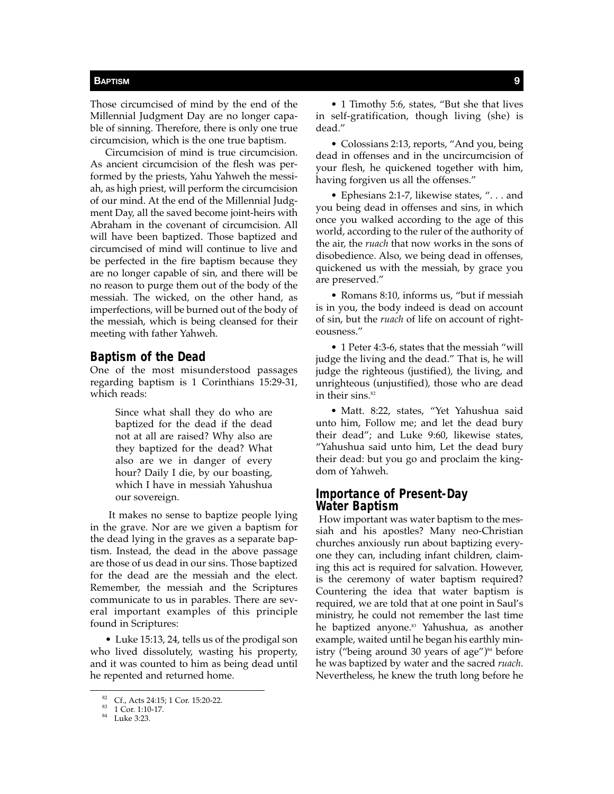Those circumcised of mind by the end of the Millennial Judgment Day are no longer capable of sinning. Therefore, there is only one true circumcision, which is the one true baptism.

Circumcision of mind is true circumcision. As ancient circumcision of the flesh was performed by the priests, Yahu Yahweh the messiah, as high priest, will perform the circumcision of our mind. At the end of the Millennial Judgment Day, all the saved become joint-heirs with Abraham in the covenant of circumcision. All will have been baptized. Those baptized and circumcised of mind will continue to live and be perfected in the fire baptism because they are no longer capable of sin, and there will be no reason to purge them out of the body of the messiah. The wicked, on the other hand, as imperfections, will be burned out of the body of the messiah, which is being cleansed for their meeting with father Yahweh.

## **Baptism of the Dead**

One of the most misunderstood passages regarding baptism is 1 Corinthians 15:29-31, which reads:

> Since what shall they do who are baptized for the dead if the dead not at all are raised? Why also are they baptized for the dead? What also are we in danger of every hour? Daily I die, by our boasting, which I have in messiah Yahushua our sovereign.

 It makes no sense to baptize people lying in the grave. Nor are we given a baptism for the dead lying in the graves as a separate baptism. Instead, the dead in the above passage are those of us dead in our sins. Those baptized for the dead are the messiah and the elect. Remember, the messiah and the Scriptures communicate to us in parables. There are several important examples of this principle found in Scriptures:

• Luke 15:13, 24, tells us of the prodigal son who lived dissolutely, wasting his property, and it was counted to him as being dead until he repented and returned home.

• 1 Timothy 5:6, states, "But she that lives in self-gratification, though living (she) is dead."

• Colossians 2:13, reports, "And you, being dead in offenses and in the uncircumcision of your flesh, he quickened together with him, having forgiven us all the offenses."

• Ephesians 2:1-7, likewise states, ". . . and you being dead in offenses and sins, in which once you walked according to the age of this world, according to the ruler of the authority of the air, the *ruach* that now works in the sons of disobedience. Also, we being dead in offenses, quickened us with the messiah, by grace you are preserved."

• Romans 8:10, informs us, "but if messiah is in you, the body indeed is dead on account of sin, but the *ruach* of life on account of righteousness."

• 1 Peter 4:3-6, states that the messiah "will judge the living and the dead." That is, he will judge the righteous (justified), the living, and unrighteous (unjustified), those who are dead in their sins. $82$ 

• Matt. 8:22, states, "Yet Yahushua said unto him, Follow me; and let the dead bury their dead"; and Luke 9:60, likewise states, "Yahushua said unto him, Let the dead bury their dead: but you go and proclaim the kingdom of Yahweh.

### **Importance of Present-Day Water Baptism**

How important was water baptism to the messiah and his apostles? Many neo-Christian churches anxiously run about baptizing everyone they can, including infant children, claiming this act is required for salvation. However, is the ceremony of water baptism required? Countering the idea that water baptism is required, we are told that at one point in Saul's ministry, he could not remember the last time he baptized anyone.<sup>83</sup> Yahushua, as another example, waited until he began his earthly ministry ("being around 30 years of age") $84$  before he was baptized by water and the sacred *ruach*. Nevertheless, he knew the truth long before he

<sup>82</sup> Cf., Acts 24:15; 1 Cor. 15:20-22.<br>
83 1 Cor. 1:10-17.<br>
84 Luke 3:23.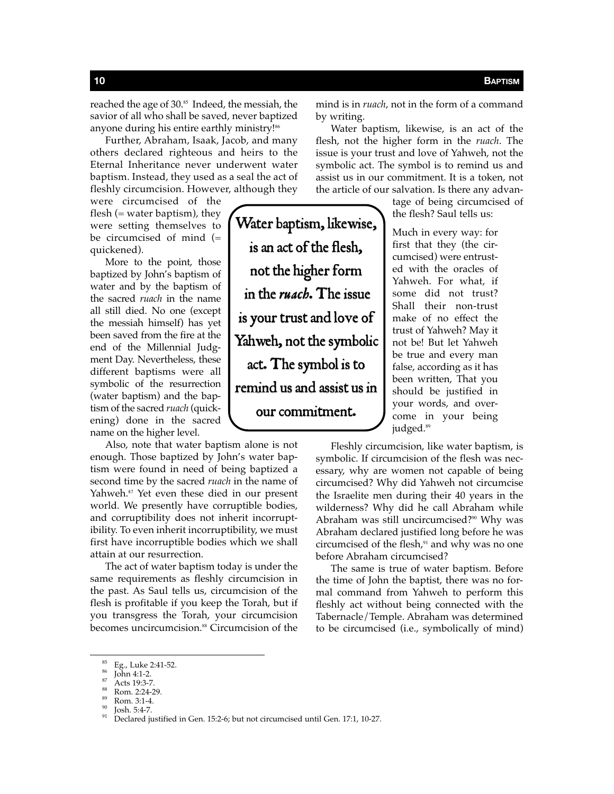reached the age of 30.85 Indeed, the messiah, the savior of all who shall be saved, never baptized anyone during his entire earthly ministry!<sup>86</sup>

Further, Abraham, Isaak, Jacob, and many others declared righteous and heirs to the Eternal Inheritance never underwent water baptism. Instead, they used as a seal the act of fleshly circumcision. However, although they

Water baptism, likewise,

is an act of the flesh,

not the higher form

in the *ruach*. The issue

is your trust and love of

Yahweh, not the symbolic

act. The symbol is to

remind us and assist us in

our commitment.

were circumcised of the flesh ( $=$  water baptism), they were setting themselves to be circumcised of mind (= quickened).

More to the point, those baptized by John's baptism of water and by the baptism of the sacred *ruach* in the name all still died. No one (except the messiah himself) has yet been saved from the fire at the end of the Millennial Judgment Day. Nevertheless, these different baptisms were all symbolic of the resurrection (water baptism) and the baptism of the sacred *ruach* (quickening) done in the sacred name on the higher level.

Also, note that water baptism alone is not enough. Those baptized by John's water baptism were found in need of being baptized a second time by the sacred *ruach* in the name of Yahweh.<sup>87</sup> Yet even these died in our present world. We presently have corruptible bodies, and corruptibility does not inherit incorruptibility. To even inherit incorruptibility, we must first have incorruptible bodies which we shall attain at our resurrection.

The act of water baptism today is under the same requirements as fleshly circumcision in the past. As Saul tells us, circumcision of the flesh is profitable if you keep the Torah, but if you transgress the Torah, your circumcision becomes uncircumcision.<sup>88</sup> Circumcision of the

mind is in *ruach*, not in the form of a command by writing.

Water baptism, likewise, is an act of the flesh, not the higher form in the *ruach*. The issue is your trust and love of Yahweh, not the symbolic act. The symbol is to remind us and assist us in our commitment. It is a token, not the article of our salvation. Is there any advan-

> tage of being circumcised of the flesh? Saul tells us:

Much in every way: for first that they (the circumcised) were entrusted with the oracles of Yahweh. For what, if some did not trust? Shall their non-trust make of no effect the trust of Yahweh? May it not be! But let Yahweh be true and every man false, according as it has been written, That you should be justified in your words, and overcome in your being judged.<sup>89</sup>

Fleshly circumcision, like water baptism, is symbolic. If circumcision of the flesh was necessary, why are women not capable of being circumcised? Why did Yahweh not circumcise the Israelite men during their 40 years in the wilderness? Why did he call Abraham while Abraham was still uncircumcised?<sup>90</sup> Why was Abraham declared justified long before he was circumcised of the flesh, $91$  and why was no one before Abraham circumcised?

The same is true of water baptism. Before the time of John the baptist, there was no formal command from Yahweh to perform this fleshly act without being connected with the Tabernacle/Temple. Abraham was determined to be circumcised (i.e., symbolically of mind)

<sup>&</sup>lt;sup>85</sup> Eg., Luke 2:41-52.<br><sup>86</sup> John 4:1-2.<br><sup>87</sup> Acts 19:3-7.<br><sup>89</sup> Rom. 2:24-29.<br><sup>90</sup> Josh. 5:4-7.<br><sup>91</sup> Declared justified in Gen. 15:2-6; but not circumcised until Gen. 17:1, 10-27.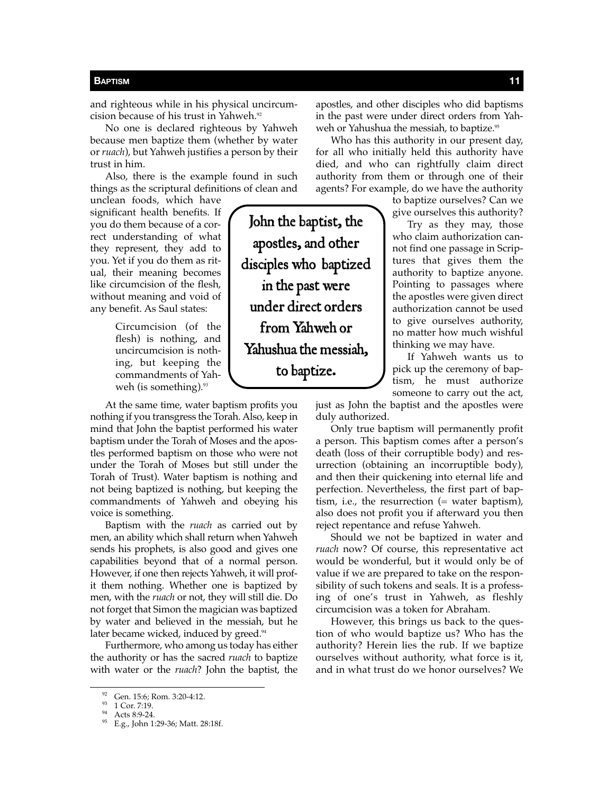and righteous while in his physical uncircumcision because of his trust in Yahweh.<sup>92</sup>

No one is declared righteous by Yahweh because men baptize them (whether by water or *ruach*), but Yahweh justifies a person by their trust in him.

Also, there is the example found in such things as the scriptural definitions of clean and

unclean foods, which have significant health benefits. If you do them because of a correct understanding of what they represent, they add to you. Yet if you do them as ritual, their meaning becomes like circumcision of the flesh, without meaning and void of any benefit. As Saul states:

> Circumcision (of the flesh) is nothing, and uncircumcision is nothing, but keeping the commandments of Yahweh (is something). $93$

At the same time, water baptism profits you nothing if you transgress the Torah. Also, keep in mind that John the baptist performed his water baptism under the Torah of Moses and the apostles performed baptism on those who were not under the Torah of Moses but still under the Torah of Trust). Water baptism is nothing and not being baptized is nothing, but keeping the commandments of Yahweh and obeying his voice is something.

Baptism with the *ruach* as carried out by men, an ability which shall return when Yahweh sends his prophets, is also good and gives one capabilities beyond that of a normal person. However, if one then rejects Yahweh, it will profit them nothing. Whether one is baptized by men, with the *ruach* or not, they will still die. Do not forget that Simon the magician was baptized by water and believed in the messiah, but he later became wicked, induced by greed.<sup>94</sup>

Furthermore, who among us today has either the authority or has the sacred *ruach* to baptize with water or the *ruach*? John the baptist, the apostles, and other disciples who did baptisms in the past were under direct orders from Yahweh or Yahushua the messiah, to baptize.<sup>95</sup>

Who has this authority in our present day, for all who initially held this authority have died, and who can rightfully claim direct authority from them or through one of their agents? For example, do we have the authority

> to baptize ourselves? Can we give ourselves this authority?

> Try as they may, those who claim authorization cannot find one passage in Scriptures that gives them the authority to baptize anyone. Pointing to passages where the apostles were given direct authorization cannot be used to give ourselves authority, no matter how much wishful thinking we may have.

> If Yahweh wants us to pick up the ceremony of baptism, he must authorize someone to carry out the act,

just as John the baptist and the apostles were duly authorized.

Only true baptism will permanently profit a person. This baptism comes after a person's death (loss of their corruptible body) and resurrection (obtaining an incorruptible body), and then their quickening into eternal life and perfection. Nevertheless, the first part of baptism, i.e., the resurrection (= water baptism), also does not profit you if afterward you then reject repentance and refuse Yahweh.

Should we not be baptized in water and *ruach* now? Of course, this representative act would be wonderful, but it would only be of value if we are prepared to take on the responsibility of such tokens and seals. It is a professing of one's trust in Yahweh, as fleshly circumcision was a token for Abraham.

However, this brings us back to the question of who would baptize us? Who has the authority? Herein lies the rub. If we baptize ourselves without authority, what force is it, and in what trust do we honor ourselves? We

John the baptist, the apostles, and other disciples who baptized in the past were under direct orders from Yahweh or Yahushua the messiah, to baptize.

<sup>92</sup> Gen. 15:6; Rom. 3:20-4:12.<br>
93 1 Cor. 7:19.<br>
94 Acts 8:9-24.<br>
95 E.g., John 1:29-36; Matt. 28:18f.